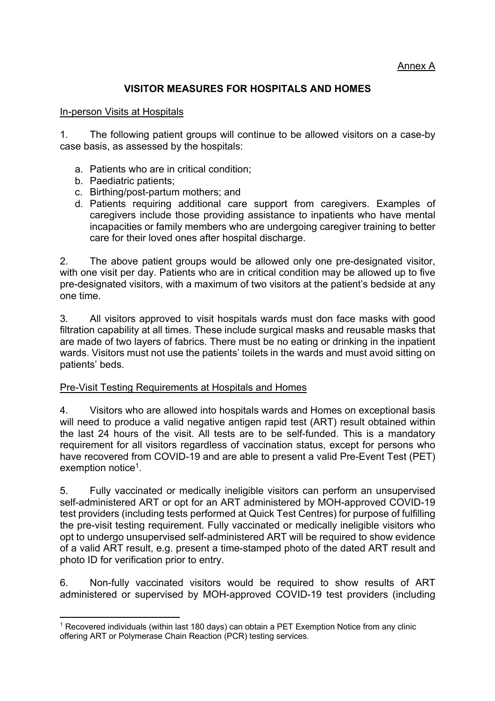## Annex A

## **VISITOR MEASURES FOR HOSPITALS AND HOMES**

## In-person Visits at Hospitals

1. The following patient groups will continue to be allowed visitors on a case-by case basis, as assessed by the hospitals:

- a. Patients who are in critical condition;
- b. Paediatric patients;
- c. Birthing/post-partum mothers; and
- d. Patients requiring additional care support from caregivers. Examples of caregivers include those providing assistance to inpatients who have mental incapacities or family members who are undergoing caregiver training to better care for their loved ones after hospital discharge.

2. The above patient groups would be allowed only one pre-designated visitor, with one visit per day. Patients who are in critical condition may be allowed up to five pre-designated visitors, with a maximum of two visitors at the patient's bedside at any one time.

3. All visitors approved to visit hospitals wards must don face masks with good filtration capability at all times. These include surgical masks and reusable masks that are made of two layers of fabrics. There must be no eating or drinking in the inpatient wards. Visitors must not use the patients' toilets in the wards and must avoid sitting on patients' beds.

## Pre-Visit Testing Requirements at Hospitals and Homes

4. Visitors who are allowed into hospitals wards and Homes on exceptional basis will need to produce a valid negative antigen rapid test (ART) result obtained within the last 24 hours of the visit. All tests are to be self-funded. This is a mandatory requirement for all visitors regardless of vaccination status, except for persons who have recovered from COVID-19 and are able to present a valid Pre-Event Test (PET) exemption notice<sup>1</sup>.

5. Fully vaccinated or medically ineligible visitors can perform an unsupervised self-administered ART or opt for an ART administered by MOH-approved COVID-19 test providers (including tests performed at Quick Test Centres) for purpose of fulfilling the pre-visit testing requirement. Fully vaccinated or medically ineligible visitors who opt to undergo unsupervised self-administered ART will be required to show evidence of a valid ART result, e.g. present a time-stamped photo of the dated ART result and photo ID for verification prior to entry.

6. Non-fully vaccinated visitors would be required to show results of ART administered or supervised by MOH-approved COVID-19 test providers (including

<sup>1</sup> Recovered individuals (within last 180 days) can obtain a PET Exemption Notice from any clinic offering ART or Polymerase Chain Reaction (PCR) testing services.